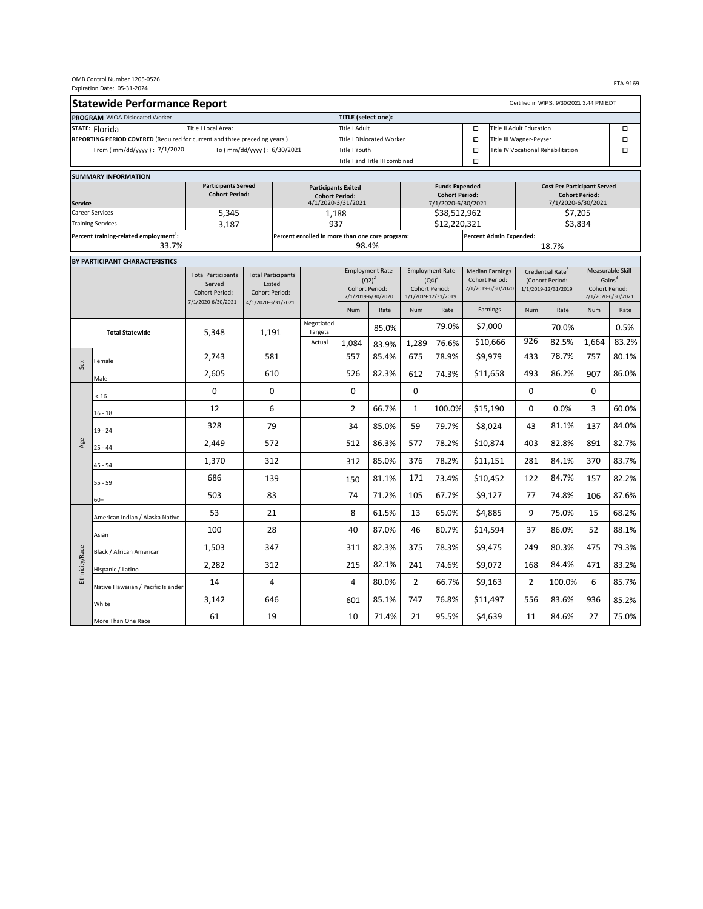|                                                                            |                                                                                                                                                                                                                                                                                                                                                                                                                                                                                                                                                                                     |                                      |                                             |                                                 |                                             |                                    |                     |                                             |                                                 |                         |                                             |                                                 |                | ETA-9169                      |
|----------------------------------------------------------------------------|-------------------------------------------------------------------------------------------------------------------------------------------------------------------------------------------------------------------------------------------------------------------------------------------------------------------------------------------------------------------------------------------------------------------------------------------------------------------------------------------------------------------------------------------------------------------------------------|--------------------------------------|---------------------------------------------|-------------------------------------------------|---------------------------------------------|------------------------------------|---------------------|---------------------------------------------|-------------------------------------------------|-------------------------|---------------------------------------------|-------------------------------------------------|----------------|-------------------------------|
|                                                                            |                                                                                                                                                                                                                                                                                                                                                                                                                                                                                                                                                                                     |                                      |                                             |                                                 |                                             |                                    |                     |                                             |                                                 |                         |                                             | Certified in WIPS: 9/30/2021 3:44 PM EDT        |                |                               |
|                                                                            |                                                                                                                                                                                                                                                                                                                                                                                                                                                                                                                                                                                     |                                      |                                             |                                                 | <b>TITLE</b> (select one):                  |                                    |                     |                                             |                                                 |                         |                                             |                                                 |                |                               |
|                                                                            |                                                                                                                                                                                                                                                                                                                                                                                                                                                                                                                                                                                     | Title I Local Area:                  |                                             |                                                 | Title I Adult                               |                                    |                     | $\Box$                                      | <b>Title II Adult Education</b>                 |                         |                                             |                                                 | $\Box$         |                               |
| REPORTING PERIOD COVERED (Required for current and three preceding years.) |                                                                                                                                                                                                                                                                                                                                                                                                                                                                                                                                                                                     |                                      |                                             | Title I Dislocated Worker                       |                                             |                                    |                     |                                             | $\blacksquare$                                  | Title III Wagner-Peyser |                                             |                                                 |                | $\Box$                        |
|                                                                            | From ( mm/dd/yyyy ) : 7/1/2020                                                                                                                                                                                                                                                                                                                                                                                                                                                                                                                                                      |                                      | To ( mm/dd/yyyy ) : 6/30/2021               |                                                 | <b>Title I Youth</b>                        |                                    |                     |                                             | $\Box$                                          |                         |                                             | Title IV Vocational Rehabilitation              |                | $\Box$                        |
|                                                                            |                                                                                                                                                                                                                                                                                                                                                                                                                                                                                                                                                                                     |                                      |                                             |                                                 |                                             | Title I and Title III combined     |                     |                                             | $\Box$                                          |                         |                                             |                                                 |                |                               |
|                                                                            |                                                                                                                                                                                                                                                                                                                                                                                                                                                                                                                                                                                     |                                      |                                             |                                                 |                                             |                                    |                     |                                             |                                                 |                         |                                             |                                                 |                |                               |
|                                                                            |                                                                                                                                                                                                                                                                                                                                                                                                                                                                                                                                                                                     | <b>Participants Served</b>           |                                             | <b>Participants Exited</b>                      |                                             |                                    |                     | <b>Funds Expended</b>                       |                                                 |                         |                                             | <b>Cost Per Participant Served</b>              |                |                               |
| <b>Service</b>                                                             | OMB Control Number 1205-0526<br>Expiration Date: 05-31-2024<br><b>Statewide Performance Report</b><br>PROGRAM WIOA Dislocated Worker<br>STATE: Florida<br><b>SUMMARY INFORMATION</b><br><b>Career Services</b><br><b>Training Services</b><br>Percent training-related employment <sup>1</sup> :<br>BY PARTICIPANT CHARACTERISTICS<br><b>Total Statewide</b><br>Female<br>Sex<br>Male<br>$<16$<br>$16 - 18$<br>$19 - 24$<br>$25 - 44$<br>$45 - 54$<br>$55 - 59$<br>$60+$<br>Asian<br>Ethnicity/Race<br>Black / African American<br>Hispanic / Latino<br>White<br>More Than One Race | <b>Cohort Period:</b>                |                                             |                                                 | <b>Cohort Period:</b><br>4/1/2020-3/31/2021 |                                    |                     | <b>Cohort Period:</b><br>7/1/2020-6/30/2021 |                                                 |                         | <b>Cohort Period:</b><br>7/1/2020-6/30/2021 |                                                 |                |                               |
|                                                                            |                                                                                                                                                                                                                                                                                                                                                                                                                                                                                                                                                                                     | 5,345                                |                                             | 1,188                                           |                                             |                                    |                     | \$38,512,962                                |                                                 |                         |                                             | \$7,205                                         |                |                               |
|                                                                            |                                                                                                                                                                                                                                                                                                                                                                                                                                                                                                                                                                                     | 3,187                                |                                             | 937                                             |                                             |                                    |                     | \$12,220,321                                |                                                 |                         |                                             | \$3,834                                         |                |                               |
|                                                                            |                                                                                                                                                                                                                                                                                                                                                                                                                                                                                                                                                                                     |                                      |                                             | Percent enrolled in more than one core program: |                                             |                                    |                     |                                             | Percent Admin Expended:                         |                         |                                             |                                                 |                |                               |
|                                                                            | 33.7%                                                                                                                                                                                                                                                                                                                                                                                                                                                                                                                                                                               |                                      |                                             |                                                 | 98.4%                                       |                                    |                     |                                             |                                                 |                         |                                             | 18.7%                                           |                |                               |
|                                                                            |                                                                                                                                                                                                                                                                                                                                                                                                                                                                                                                                                                                     |                                      |                                             |                                                 |                                             |                                    |                     |                                             |                                                 |                         |                                             |                                                 |                |                               |
|                                                                            |                                                                                                                                                                                                                                                                                                                                                                                                                                                                                                                                                                                     | <b>Total Participants</b>            | <b>Total Participants</b>                   |                                                 |                                             | <b>Employment Rate</b><br>$(Q2)^2$ |                     | <b>Employment Rate</b><br>$(Q4)^2$          | <b>Median Earnings</b><br><b>Cohort Period:</b> |                         |                                             | Credential Rate <sup>3</sup><br>(Cohort Period: |                | Measurable Skill<br>Gains $3$ |
|                                                                            |                                                                                                                                                                                                                                                                                                                                                                                                                                                                                                                                                                                     | Served                               | Exited                                      |                                                 | Cohort Period:                              |                                    | Cohort Period:      |                                             | 7/1/2019-6/30/2020                              |                         |                                             | 1/1/2019-12/31/2019                             | Cohort Period: |                               |
|                                                                            |                                                                                                                                                                                                                                                                                                                                                                                                                                                                                                                                                                                     | Cohort Period:<br>7/1/2020-6/30/2021 | <b>Cohort Period:</b><br>4/1/2020-3/31/2021 |                                                 |                                             | 7/1/2019-6/30/2020                 | 1/1/2019-12/31/2019 |                                             |                                                 |                         |                                             |                                                 |                | 7/1/2020-6/30/2021            |
|                                                                            |                                                                                                                                                                                                                                                                                                                                                                                                                                                                                                                                                                                     |                                      |                                             |                                                 | Num                                         | Rate                               | Num                 | Rate                                        | Earnings                                        |                         | Num                                         | Rate                                            | Num            | Rate                          |
|                                                                            |                                                                                                                                                                                                                                                                                                                                                                                                                                                                                                                                                                                     | 5,348                                | 1,191                                       | Negotiated<br>Targets                           |                                             | 85.0%                              |                     | 79.0%                                       | \$7,000                                         |                         |                                             | 70.0%                                           |                | 0.5%                          |
|                                                                            |                                                                                                                                                                                                                                                                                                                                                                                                                                                                                                                                                                                     |                                      |                                             | Actual                                          | 1,084                                       | 83.9%                              | 1,289               | 76.6%                                       | \$10,666                                        |                         | 926                                         | 82.5%                                           | 1,664          | 83.2%                         |
|                                                                            |                                                                                                                                                                                                                                                                                                                                                                                                                                                                                                                                                                                     | 2,743                                | 581                                         |                                                 | 557                                         | 85.4%                              | 675                 | 78.9%                                       | \$9,979                                         |                         | 433                                         | 78.7%                                           | 757            | 80.1%                         |
|                                                                            |                                                                                                                                                                                                                                                                                                                                                                                                                                                                                                                                                                                     | 2,605                                | 610                                         |                                                 | 526                                         | 82.3%                              | 612                 | 74.3%                                       | \$11,658                                        |                         | 493                                         | 86.2%                                           | 907            | 86.0%                         |
|                                                                            |                                                                                                                                                                                                                                                                                                                                                                                                                                                                                                                                                                                     | 0                                    | 0                                           |                                                 | 0                                           |                                    | 0                   |                                             |                                                 |                         | 0                                           |                                                 | 0              |                               |
|                                                                            |                                                                                                                                                                                                                                                                                                                                                                                                                                                                                                                                                                                     | 12                                   | 6                                           |                                                 | $\overline{2}$                              | 66.7%                              | $\mathbf{1}$        | 100.0%                                      | \$15,190                                        |                         | 0                                           | 0.0%                                            | 3              | 60.0%<br>84.0%                |
|                                                                            |                                                                                                                                                                                                                                                                                                                                                                                                                                                                                                                                                                                     | 328                                  | 79                                          |                                                 | 34                                          | 85.0%                              | 59                  | 79.7%                                       | \$8,024                                         |                         | 43                                          | 81.1%                                           | 137            |                               |
| Age                                                                        |                                                                                                                                                                                                                                                                                                                                                                                                                                                                                                                                                                                     | 2,449                                | 572                                         |                                                 | 512                                         | 86.3%                              | 577                 | 78.2%                                       | \$10,874                                        |                         | 403                                         | 82.8%                                           | 891            | 82.7%                         |
|                                                                            |                                                                                                                                                                                                                                                                                                                                                                                                                                                                                                                                                                                     | 1,370                                | 312                                         |                                                 | 312                                         | 85.0%                              | 376                 | 78.2%                                       | \$11,151                                        |                         | 281                                         | 84.1%                                           | 370            | 83.7%                         |
|                                                                            |                                                                                                                                                                                                                                                                                                                                                                                                                                                                                                                                                                                     | 686                                  | 139                                         |                                                 | 150                                         | 81.1%                              | 171                 | 73.4%                                       | \$10,452                                        |                         | 122                                         | 84.7%                                           | 157            | 82.2%                         |
|                                                                            |                                                                                                                                                                                                                                                                                                                                                                                                                                                                                                                                                                                     | 503                                  | 83                                          |                                                 | 74                                          | 71.2%                              | 105                 | 67.7%                                       | \$9,127                                         |                         | 77                                          | 74.8%                                           | 106            | 87.6%                         |
|                                                                            | American Indian / Alaska Native                                                                                                                                                                                                                                                                                                                                                                                                                                                                                                                                                     | 53                                   | 21                                          |                                                 | 8                                           | 61.5%                              | 13                  | 65.0%                                       | \$4,885                                         |                         | 9                                           | 75.0%                                           | 15             | 68.2%                         |
|                                                                            |                                                                                                                                                                                                                                                                                                                                                                                                                                                                                                                                                                                     | 100                                  | 28                                          |                                                 | 40                                          | 87.0%                              | 46                  | 80.7%                                       | \$14,594                                        |                         | 37                                          | 86.0%                                           | 52             | 88.1%                         |
|                                                                            |                                                                                                                                                                                                                                                                                                                                                                                                                                                                                                                                                                                     | 1,503                                | 347                                         |                                                 | 311                                         | 82.3%                              | 375                 | 78.3%                                       | \$9,475                                         |                         | 249                                         | 80.3%                                           | 475            | 79.3%                         |
|                                                                            |                                                                                                                                                                                                                                                                                                                                                                                                                                                                                                                                                                                     | 2,282                                | 312                                         |                                                 | 215                                         | 82.1%                              | 241                 | 74.6%                                       | \$9,072                                         |                         | 168                                         | 84.4%                                           | 471            | 83.2%                         |
|                                                                            | Native Hawaiian / Pacific Islander                                                                                                                                                                                                                                                                                                                                                                                                                                                                                                                                                  | 14                                   | 4                                           |                                                 | 4                                           | 80.0%                              | $\overline{2}$      | 66.7%                                       | \$9,163                                         |                         | $\overline{2}$                              | 100.0%                                          | 6              | 85.7%                         |
|                                                                            |                                                                                                                                                                                                                                                                                                                                                                                                                                                                                                                                                                                     | 3,142                                | 646                                         |                                                 | 601                                         | 85.1%                              | 747                 | 76.8%                                       | \$11,497                                        |                         | 556                                         | 83.6%                                           | 936            | 85.2%                         |
|                                                                            |                                                                                                                                                                                                                                                                                                                                                                                                                                                                                                                                                                                     | 61                                   | 19                                          |                                                 | 10                                          | 71.4%                              | 21                  | 95.5%                                       | \$4,639                                         |                         | 11                                          | 84.6%                                           | 27             | 75.0%                         |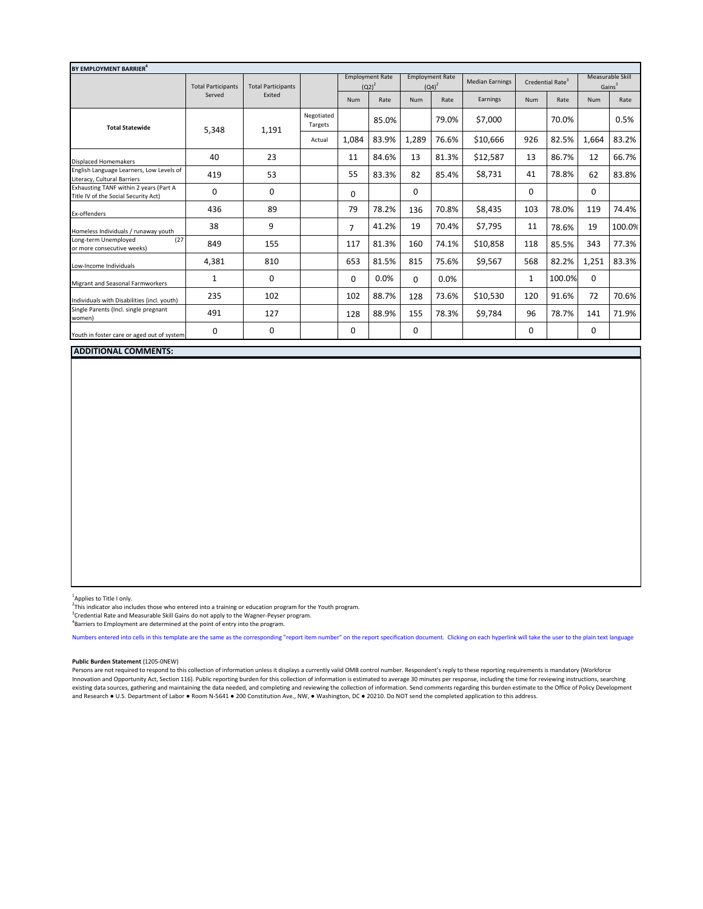| BY EMPLOYMENT BARRIER <sup>4</sup>                                             |                           |                           |                       |                                    |       |                                    |       |                        |                              |        |                                        |        |
|--------------------------------------------------------------------------------|---------------------------|---------------------------|-----------------------|------------------------------------|-------|------------------------------------|-------|------------------------|------------------------------|--------|----------------------------------------|--------|
|                                                                                | <b>Total Participants</b> | <b>Total Participants</b> |                       | <b>Employment Rate</b><br>$(Q2)^2$ |       | <b>Employment Rate</b><br>$(Q4)^2$ |       | <b>Median Earnings</b> | Credential Rate <sup>3</sup> |        | Measurable Skill<br>Gains <sup>3</sup> |        |
|                                                                                | Served                    | Exited                    |                       | Num                                | Rate  | <b>Num</b>                         | Rate  | Earnings               | <b>Num</b>                   | Rate   | <b>Num</b>                             | Rate   |
| <b>Total Statewide</b>                                                         | 5,348                     | 1,191                     | Negotiated<br>Targets |                                    | 85.0% |                                    | 79.0% | \$7,000                |                              | 70.0%  |                                        | 0.5%   |
|                                                                                |                           |                           | Actual                | 1,084                              | 83.9% | 1,289                              | 76.6% | \$10,666               | 926                          | 82.5%  | 1,664                                  | 83.2%  |
| <b>Displaced Homemakers</b>                                                    | 40                        | 23                        |                       | 11                                 | 84.6% | 13                                 | 81.3% | \$12,587               | 13                           | 86.7%  | 12                                     | 66.7%  |
| English Language Learners, Low Levels of<br>Literacy, Cultural Barriers        | 419                       | 53                        |                       | 55                                 | 83.3% | 82                                 | 85.4% | \$8,731                | 41                           | 78.8%  | 62                                     | 83.8%  |
| Exhausting TANF within 2 years (Part A<br>Title IV of the Social Security Act) | $\Omega$                  | 0                         |                       | 0                                  |       | $\Omega$                           |       |                        | 0                            |        | $\Omega$                               |        |
| Ex-offenders                                                                   | 436                       | 89                        |                       | 79                                 | 78.2% | 136                                | 70.8% | \$8,435                | 103                          | 78.0%  | 119                                    | 74.4%  |
| Homeless Individuals / runaway youth                                           | 38                        | 9                         |                       | 7                                  | 41.2% | 19                                 | 70.4% | \$7,795                | 11                           | 78.6%  | 19                                     | 100.0% |
| Long-term Unemployed<br>(27)<br>or more consecutive weeks)                     | 849                       | 155                       |                       | 117                                | 81.3% | 160                                | 74.1% | \$10,858               | 118                          | 85.5%  | 343                                    | 77.3%  |
| Low-Income Individuals                                                         | 4,381                     | 810                       |                       | 653                                | 81.5% | 815                                | 75.6% | \$9,567                | 568                          | 82.2%  | 1,251                                  | 83.3%  |
| Migrant and Seasonal Farmworkers                                               | 1                         | $\mathbf 0$               |                       | 0                                  | 0.0%  | $\Omega$                           | 0.0%  |                        | 1                            | 100.0% | $\mathbf 0$                            |        |
| Individuals with Disabilities (incl. youth)                                    | 235                       | 102                       |                       | 102                                | 88.7% | 128                                | 73.6% | \$10,530               | 120                          | 91.6%  | 72                                     | 70.6%  |
| Single Parents (Incl. single pregnant<br>women)                                | 491                       | 127                       |                       | 128                                | 88.9% | 155                                | 78.3% | \$9,784                | 96                           | 78.7%  | 141                                    | 71.9%  |
| Youth in foster care or aged out of system                                     | 0                         | 0                         |                       | 0                                  |       | 0                                  |       |                        | 0                            |        | 0                                      |        |

## **ADDITIONAL COMMENTS:**

<sup>1</sup>Applies to Title I only.

 $2\overline{h}$  This indicator also includes those who entered into a training or education program for the Youth program.

"This indicator also includes those who entered into a training or education program for the Youth program.<br><sup>3</sup>Credential Rate and Measurable Skill Gains do not apply to the Wagner-Peyser program.<br><sup>4</sup>Pacriers to Employment

Barriers to Employment are determined at the point of entry into the program.

Numbers entered into cells in this template are the same as the corresponding "report item number" on the report specification document. Clicking on each hyperlink will take the user to the plain text language

## **Public Burden Statement** (1205-0NEW)

Persons are not required to respond to this collection of information unless it displays a currently valid OMB control number. Respondent's reply to these reporting requirements is mandatory (Workforce Innovation and Opportunity Act, Section 116). Public reporting burden for this collection of information is estimated to average 30 minutes per response, including the time for reviewing instructions, searching existing data sources, gathering and maintaining the data needed, and completing and reviewing the collection of information. Send comments regarding this burden estimate to the Office of Policy Development and Research ● U.S. Department of Labor ● Room N-5641 ● 200 Constitution Ave., NW, ● Washington, DC ● 20210. Do NOT send the completed application to this address.